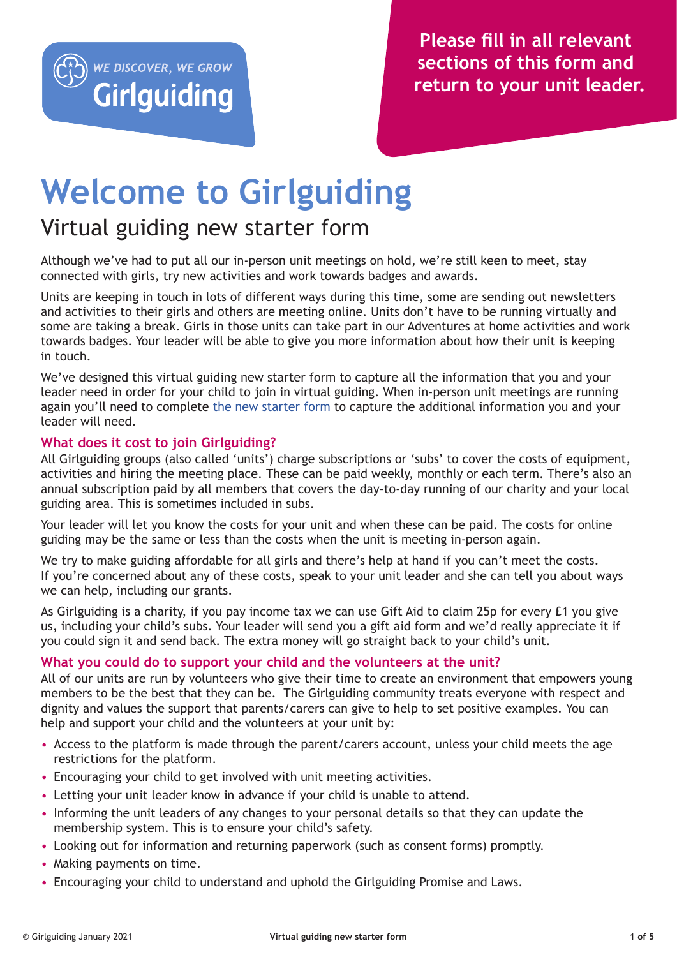

# **Welcome to Girlguiding**

# Virtual guiding new starter form

Although we've had to put all our in-person unit meetings on hold, we're still keen to meet, stay connected with girls, try new activities and work towards badges and awards.

Units are keeping in touch in lots of different ways during this time, some are sending out newsletters and activities to their girls and others are meeting online. Units don't have to be running virtually and some are taking a break. Girls in those units can take part in our Adventures at home activities and work towards badges. Your leader will be able to give you more information about how their unit is keeping in touch.

We've designed this virtual guiding new starter form to capture all the information that you and your leader need in order for your child to join in virtual guiding. When in-person unit meetings are running again you'll need to complete [the new starter form](https://www.girlguiding.org.uk/making-guiding-happen/resources/resource-library/unit-forms/) to capture the additional information you and your leader will need.

# **What does it cost to join Girlguiding?**

All Girlguiding groups (also called 'units') charge subscriptions or 'subs' to cover the costs of equipment, activities and hiring the meeting place. These can be paid weekly, monthly or each term. There's also an annual subscription paid by all members that covers the day-to-day running of our charity and your local guiding area. This is sometimes included in subs.

Your leader will let you know the costs for your unit and when these can be paid. The costs for online guiding may be the same or less than the costs when the unit is meeting in-person again.

We try to make guiding affordable for all girls and there's help at hand if you can't meet the costs. If you're concerned about any of these costs, speak to your unit leader and she can tell you about ways we can help, including our grants.

As Girlguiding is a charity, if you pay income tax we can use Gift Aid to claim 25p for every £1 you give us, including your child's subs. Your leader will send you a gift aid form and we'd really appreciate it if you could sign it and send back. The extra money will go straight back to your child's unit.

# **What you could do to support your child and the volunteers at the unit?**

All of our units are run by volunteers who give their time to create an environment that empowers young members to be the best that they can be. The Girlguiding community treats everyone with respect and dignity and values the support that parents/carers can give to help to set positive examples. You can help and support your child and the volunteers at your unit by:

- Access to the platform is made through the parent/carers account, unless your child meets the age restrictions for the platform.
- Encouraging your child to get involved with unit meeting activities.
- Letting your unit leader know in advance if your child is unable to attend.
- Informing the unit leaders of any changes to your personal details so that they can update the membership system. This is to ensure your child's safety.
- Looking out for information and returning paperwork (such as consent forms) promptly.
- Making payments on time.
- Encouraging your child to understand and uphold the Girlguiding Promise and Laws.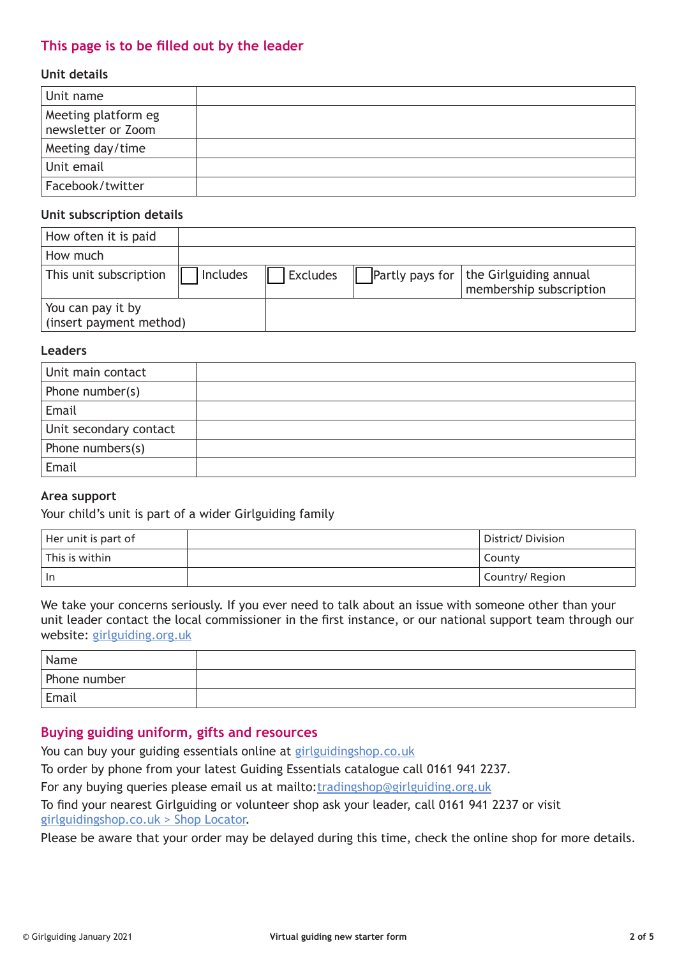# **This page is to be filled out by the leader**

#### **Unit details**

| Unit name                                 |  |
|-------------------------------------------|--|
| Meeting platform eg<br>newsletter or Zoom |  |
| Meeting day/time                          |  |
| Unit email                                |  |
| Facebook/twitter                          |  |

#### **Unit subscription details**

| How often it is paid                         |                 |                 |                                                                     |
|----------------------------------------------|-----------------|-----------------|---------------------------------------------------------------------|
| How much                                     |                 |                 |                                                                     |
| This unit subscription                       | <b>Includes</b> | <b>Excludes</b> | Partly pays for   the Girlguiding annual<br>membership subscription |
| You can pay it by<br>(insert payment method) |                 |                 |                                                                     |

#### **Leaders**

| Unit main contact      |  |
|------------------------|--|
| Phone number(s)        |  |
| Email                  |  |
| Unit secondary contact |  |
| Phone numbers(s)       |  |
| Email                  |  |

#### **Area support**

Your child's unit is part of a wider Girlguiding family

| Her unit is part of | District/Division |
|---------------------|-------------------|
| l This is within    | County            |
| In                  | Country/ Region   |

We take your concerns seriously. If you ever need to talk about an issue with someone other than your unit leader contact the local commissioner in the first instance, or our national support team through our website: [girlguiding.org.uk](http://girlguiding.org.uk)

| 'Name        |  |
|--------------|--|
| Phone number |  |
| Email        |  |

# **Buying guiding uniform, gifts and resources**

You can buy your guiding essentials online at [girlguidingshop.co.uk](http://girlguidingshop.co.uk)

To order by phone from your latest Guiding Essentials catalogue call 0161 941 2237.

For any buying queries please email us at mailto:[tradingshop@girlguiding.org.uk](mailto:tradingshop%40girlguiding.org.uk?subject=)

To find your nearest Girlguiding or volunteer shop ask your leader, call 0161 941 2237 or visit [girlguidingshop.co.uk > Shop Locator.](http://girlguidingshop.co.uk > Shop Locator)

Please be aware that your order may be delayed during this time, check the online shop for more details.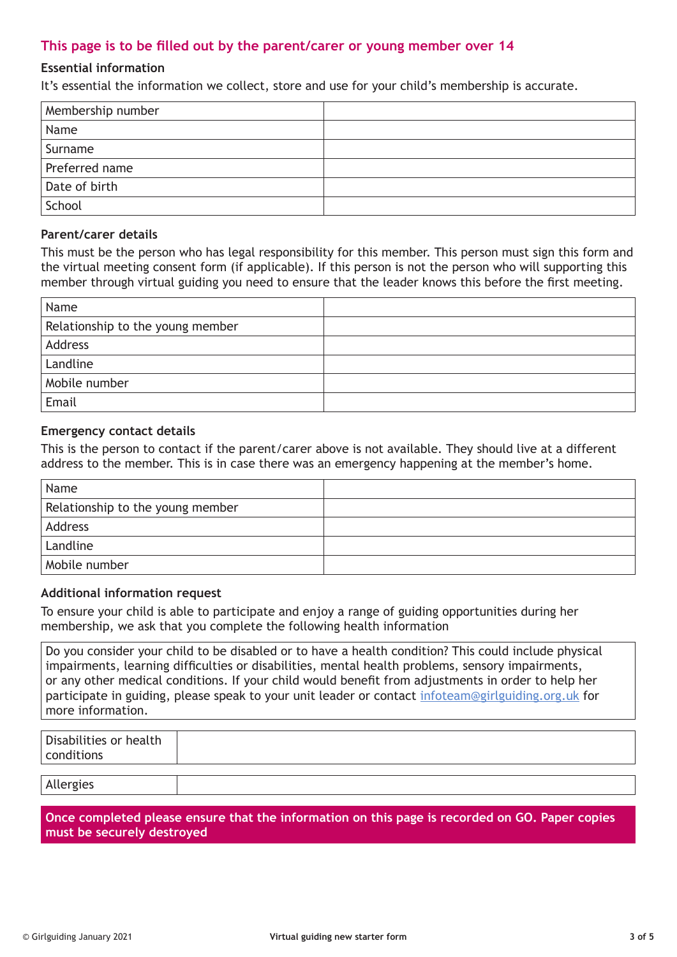# **This page is to be filled out by the parent/carer or young member over 14**

#### **Essential information**

It's essential the information we collect, store and use for your child's membership is accurate.

| Membership number |  |
|-------------------|--|
| Name              |  |
| Surname           |  |
| Preferred name    |  |
| Date of birth     |  |
| School            |  |

#### **Parent/carer details**

This must be the person who has legal responsibility for this member. This person must sign this form and the virtual meeting consent form (if applicable). If this person is not the person who will supporting this member through virtual guiding you need to ensure that the leader knows this before the first meeting.

| Name                             |  |
|----------------------------------|--|
| Relationship to the young member |  |
| Address                          |  |
| Landline                         |  |
| Mobile number                    |  |
| Email                            |  |

#### **Emergency contact details**

This is the person to contact if the parent/carer above is not available. They should live at a different address to the member. This is in case there was an emergency happening at the member's home.

| Name                             |  |
|----------------------------------|--|
| Relationship to the young member |  |
| Address                          |  |
| Landline                         |  |
| Mobile number                    |  |

#### **Additional information request**

To ensure your child is able to participate and enjoy a range of guiding opportunities during her membership, we ask that you complete the following health information

Do you consider your child to be disabled or to have a health condition? This could include physical impairments, learning difficulties or disabilities, mental health problems, sensory impairments, or any other medical conditions. If your child would benefit from adjustments in order to help her participate in guiding, please speak to your unit leader or contact [infoteam@girlguiding.org.uk](mailto:infoteam%40girlguiding.org.uk?subject=) for more information.

| Disabilities or health<br>conditions |  |
|--------------------------------------|--|
|                                      |  |
| Allergies                            |  |

**Once completed please ensure that the information on this page is recorded on GO. Paper copies must be securely destroyed**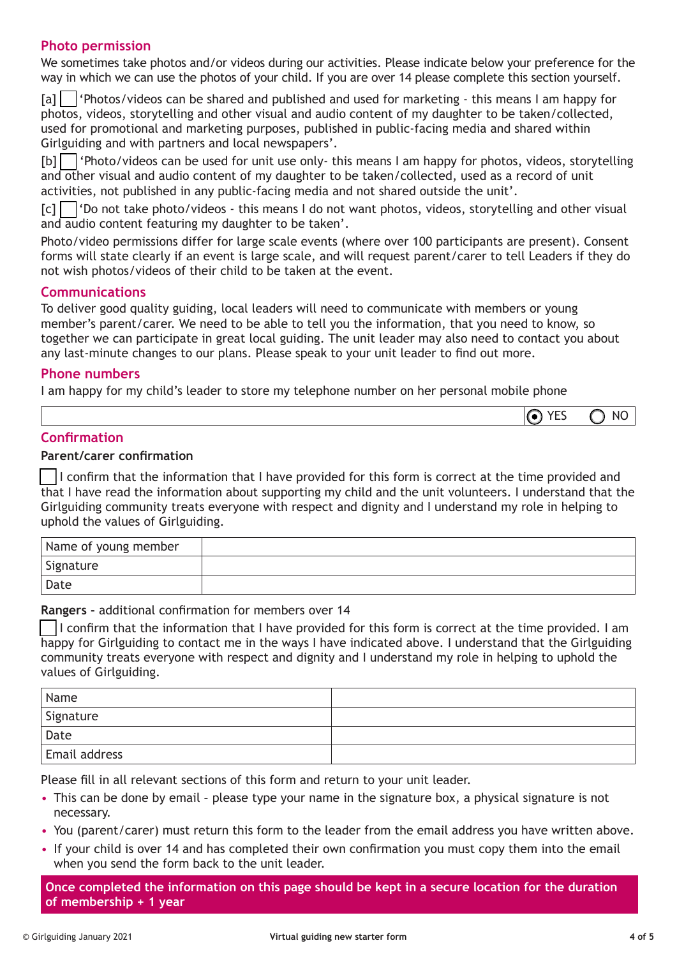# **Photo permission**

We sometimes take photos and/or videos during our activities. Please indicate below your preference for the way in which we can use the photos of your child. If you are over 14 please complete this section yourself.

[a] | 'Photos/videos can be shared and published and used for marketing - this means I am happy for photos, videos, storytelling and other visual and audio content of my daughter to be taken/collected, used for promotional and marketing purposes, published in public-facing media and shared within Girlguiding and with partners and local newspapers'.

[b]  $\Box$  'Photo/videos can be used for unit use only- this means I am happy for photos, videos, storytelling and other visual and audio content of my daughter to be taken/collected, used as a record of unit activities, not published in any public-facing media and not shared outside the unit'.

 $[c]$  'Do not take photo/videos - this means I do not want photos, videos, storytelling and other visual and audio content featuring my daughter to be taken'.

Photo/video permissions differ for large scale events (where over 100 participants are present). Consent forms will state clearly if an event is large scale, and will request parent/carer to tell Leaders if they do not wish photos/videos of their child to be taken at the event.

# **Communications**

To deliver good quality guiding, local leaders will need to communicate with members or young member's parent/carer. We need to be able to tell you the information, that you need to know, so together we can participate in great local guiding. The unit leader may also need to contact you about any last-minute changes to our plans. Please speak to your unit leader to find out more.

# **Phone numbers**

I am happy for my child's leader to store my telephone number on her personal mobile phone

|           | __ | NH |
|-----------|----|----|
| __<br>$-$ |    |    |

# **Confirmation**

#### **Parent/carer confirmation**

I confirm that the information that I have provided for this form is correct at the time provided and that I have read the information about supporting my child and the unit volunteers. I understand that the Girlguiding community treats everyone with respect and dignity and I understand my role in helping to uphold the values of Girlguiding.

| Name of young member |  |
|----------------------|--|
| Signature            |  |
| Date                 |  |

#### **Rangers -** additional confirmation for members over 14

I confirm that the information that I have provided for this form is correct at the time provided. I am happy for Girlguiding to contact me in the ways I have indicated above. I understand that the Girlguiding community treats everyone with respect and dignity and I understand my role in helping to uphold the values of Girlguiding.

| Name                 |  |
|----------------------|--|
| Signature            |  |
| Date                 |  |
| <b>Email address</b> |  |

Please fill in all relevant sections of this form and return to your unit leader.

- This can be done by email please type your name in the signature box, a physical signature is not necessary.
- You (parent/carer) must return this form to the leader from the email address you have written above.
- If your child is over 14 and has completed their own confirmation you must copy them into the email when you send the form back to the unit leader.

**Once completed the information on this page should be kept in a secure location for the duration of membership + 1 year**